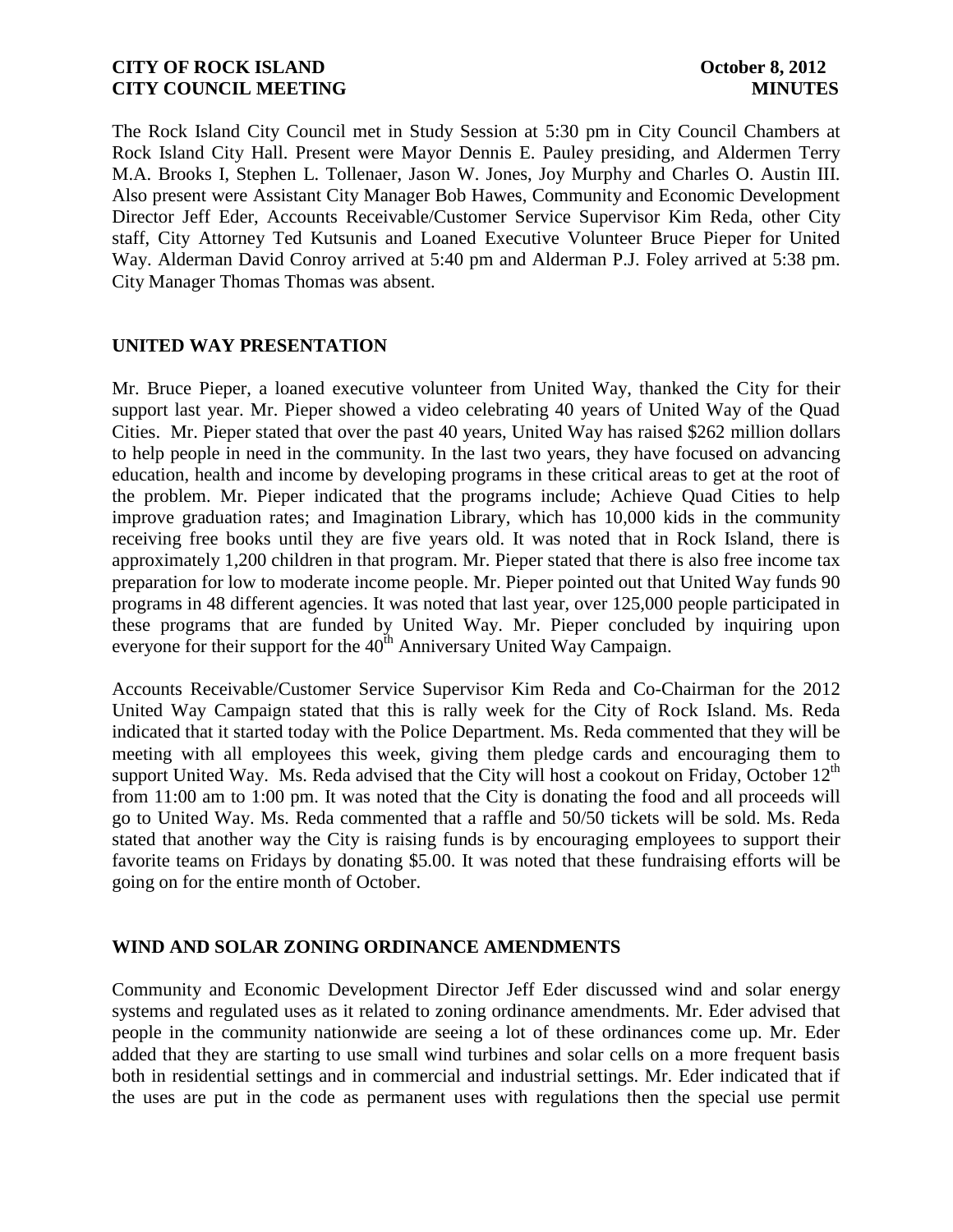The Rock Island City Council met in Study Session at 5:30 pm in City Council Chambers at Rock Island City Hall. Present were Mayor Dennis E. Pauley presiding, and Aldermen Terry M.A. Brooks I, Stephen L. Tollenaer, Jason W. Jones, Joy Murphy and Charles O. Austin III. Also present were Assistant City Manager Bob Hawes, Community and Economic Development Director Jeff Eder, Accounts Receivable/Customer Service Supervisor Kim Reda, other City staff, City Attorney Ted Kutsunis and Loaned Executive Volunteer Bruce Pieper for United Way. Alderman David Conroy arrived at 5:40 pm and Alderman P.J. Foley arrived at 5:38 pm. City Manager Thomas Thomas was absent.

#### **UNITED WAY PRESENTATION**

Mr. Bruce Pieper, a loaned executive volunteer from United Way, thanked the City for their support last year. Mr. Pieper showed a video celebrating 40 years of United Way of the Quad Cities. Mr. Pieper stated that over the past 40 years, United Way has raised \$262 million dollars to help people in need in the community. In the last two years, they have focused on advancing education, health and income by developing programs in these critical areas to get at the root of the problem. Mr. Pieper indicated that the programs include; Achieve Quad Cities to help improve graduation rates; and Imagination Library, which has 10,000 kids in the community receiving free books until they are five years old. It was noted that in Rock Island, there is approximately 1,200 children in that program. Mr. Pieper stated that there is also free income tax preparation for low to moderate income people. Mr. Pieper pointed out that United Way funds 90 programs in 48 different agencies. It was noted that last year, over 125,000 people participated in these programs that are funded by United Way. Mr. Pieper concluded by inquiring upon everyone for their support for the  $40^{th}$  Anniversary United Way Campaign.

Accounts Receivable/Customer Service Supervisor Kim Reda and Co-Chairman for the 2012 United Way Campaign stated that this is rally week for the City of Rock Island. Ms. Reda indicated that it started today with the Police Department. Ms. Reda commented that they will be meeting with all employees this week, giving them pledge cards and encouraging them to support United Way. Ms. Reda advised that the City will host a cookout on Friday, October  $12<sup>th</sup>$ from 11:00 am to 1:00 pm. It was noted that the City is donating the food and all proceeds will go to United Way. Ms. Reda commented that a raffle and 50/50 tickets will be sold. Ms. Reda stated that another way the City is raising funds is by encouraging employees to support their favorite teams on Fridays by donating \$5.00. It was noted that these fundraising efforts will be going on for the entire month of October.

### **WIND AND SOLAR ZONING ORDINANCE AMENDMENTS**

Community and Economic Development Director Jeff Eder discussed wind and solar energy systems and regulated uses as it related to zoning ordinance amendments. Mr. Eder advised that people in the community nationwide are seeing a lot of these ordinances come up. Mr. Eder added that they are starting to use small wind turbines and solar cells on a more frequent basis both in residential settings and in commercial and industrial settings. Mr. Eder indicated that if the uses are put in the code as permanent uses with regulations then the special use permit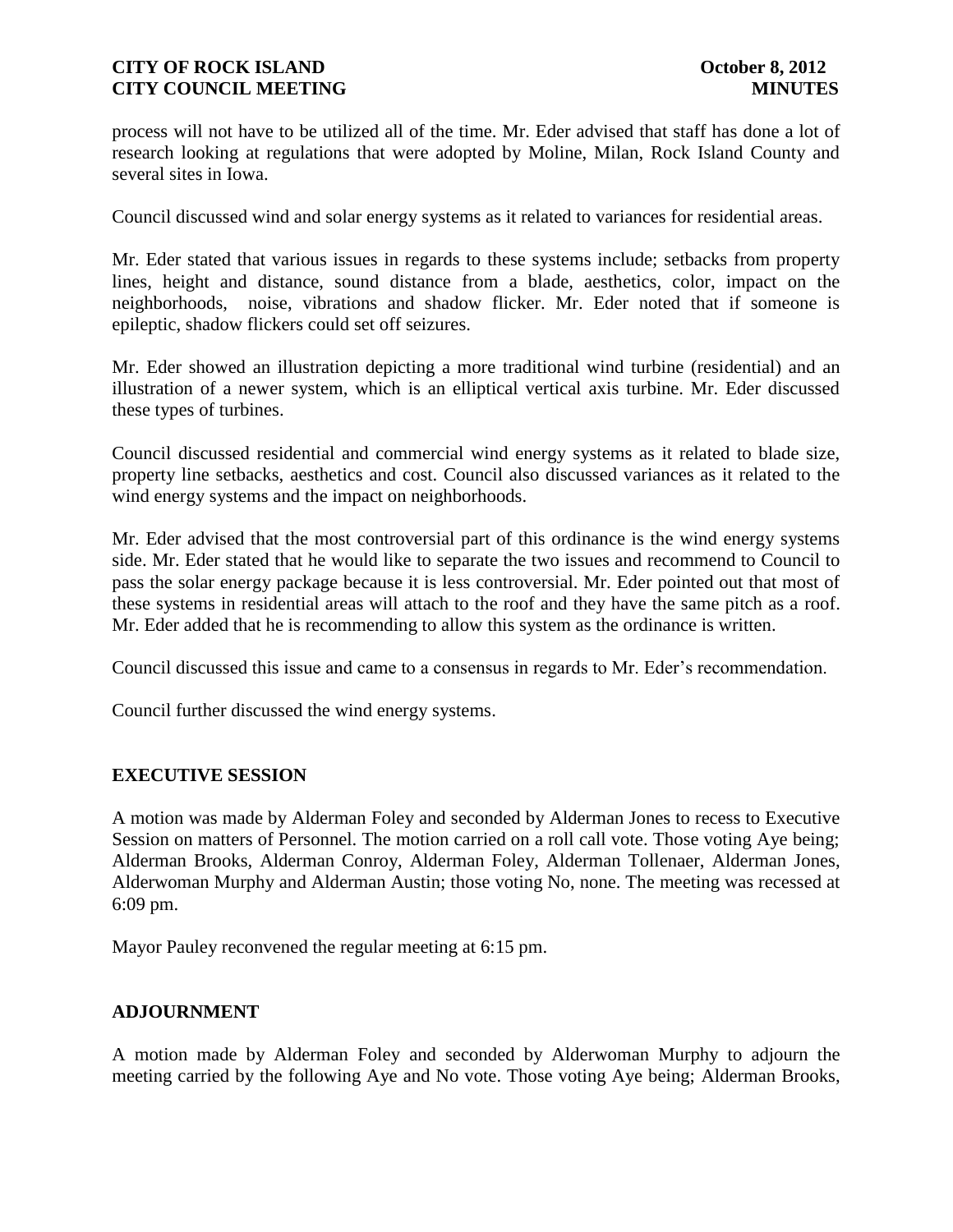process will not have to be utilized all of the time. Mr. Eder advised that staff has done a lot of research looking at regulations that were adopted by Moline, Milan, Rock Island County and several sites in Iowa.

Council discussed wind and solar energy systems as it related to variances for residential areas.

Mr. Eder stated that various issues in regards to these systems include; setbacks from property lines, height and distance, sound distance from a blade, aesthetics, color, impact on the neighborhoods, noise, vibrations and shadow flicker. Mr. Eder noted that if someone is epileptic, shadow flickers could set off seizures.

Mr. Eder showed an illustration depicting a more traditional wind turbine (residential) and an illustration of a newer system, which is an elliptical vertical axis turbine. Mr. Eder discussed these types of turbines.

Council discussed residential and commercial wind energy systems as it related to blade size, property line setbacks, aesthetics and cost. Council also discussed variances as it related to the wind energy systems and the impact on neighborhoods.

Mr. Eder advised that the most controversial part of this ordinance is the wind energy systems side. Mr. Eder stated that he would like to separate the two issues and recommend to Council to pass the solar energy package because it is less controversial. Mr. Eder pointed out that most of these systems in residential areas will attach to the roof and they have the same pitch as a roof. Mr. Eder added that he is recommending to allow this system as the ordinance is written.

Council discussed this issue and came to a consensus in regards to Mr. Eder's recommendation.

Council further discussed the wind energy systems.

### **EXECUTIVE SESSION**

A motion was made by Alderman Foley and seconded by Alderman Jones to recess to Executive Session on matters of Personnel. The motion carried on a roll call vote. Those voting Aye being; Alderman Brooks, Alderman Conroy, Alderman Foley, Alderman Tollenaer, Alderman Jones, Alderwoman Murphy and Alderman Austin; those voting No, none. The meeting was recessed at 6:09 pm.

Mayor Pauley reconvened the regular meeting at 6:15 pm.

## **ADJOURNMENT**

A motion made by Alderman Foley and seconded by Alderwoman Murphy to adjourn the meeting carried by the following Aye and No vote. Those voting Aye being; Alderman Brooks,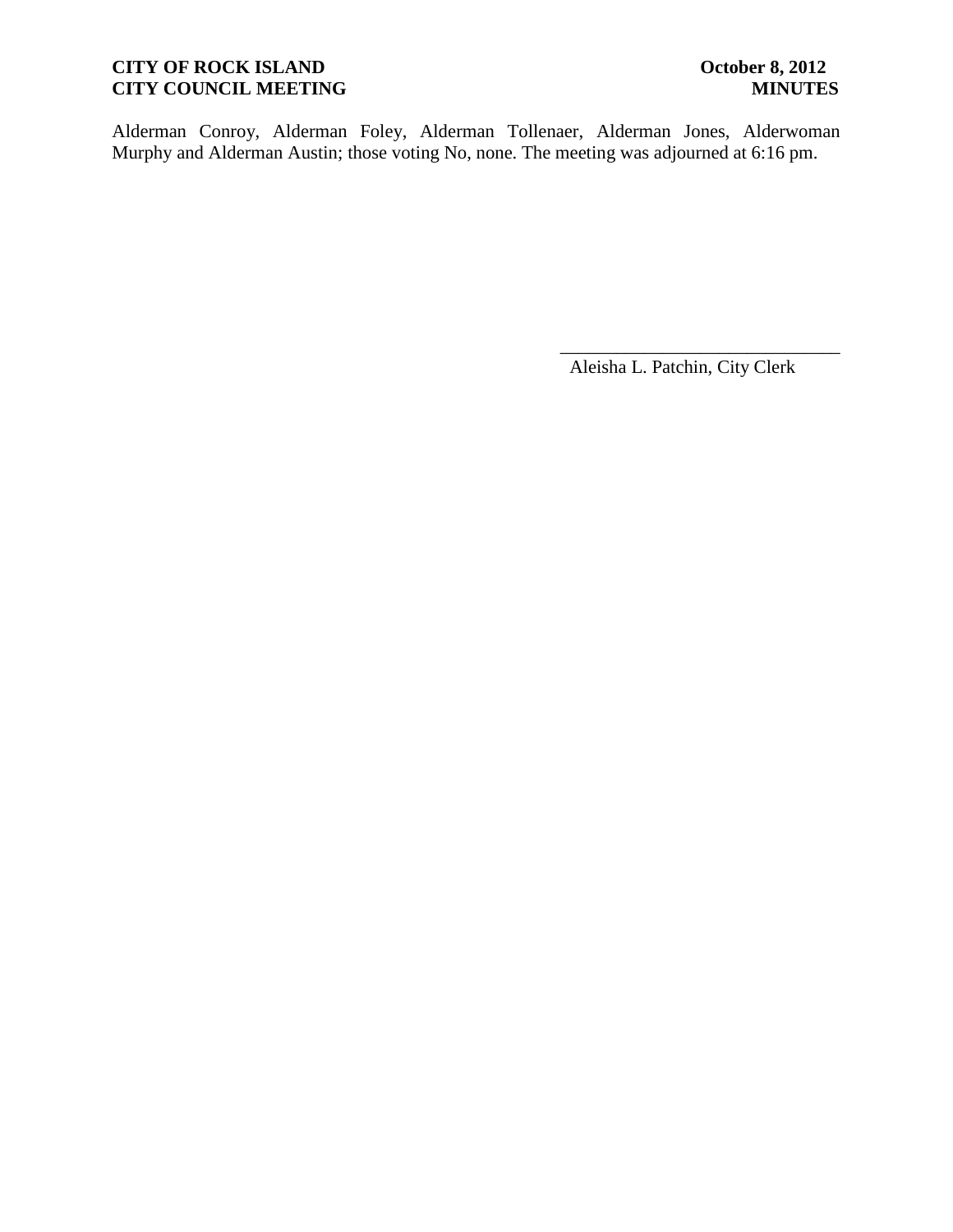# **CITY OF ROCK ISLAND October 8, 2012**<br> **CITY COUNCIL MEETING MINUTES CITY COUNCIL MEETING**

Alderman Conroy, Alderman Foley, Alderman Tollenaer, Alderman Jones, Alderwoman Murphy and Alderman Austin; those voting No, none. The meeting was adjourned at 6:16 pm.

Aleisha L. Patchin, City Clerk

\_\_\_\_\_\_\_\_\_\_\_\_\_\_\_\_\_\_\_\_\_\_\_\_\_\_\_\_\_\_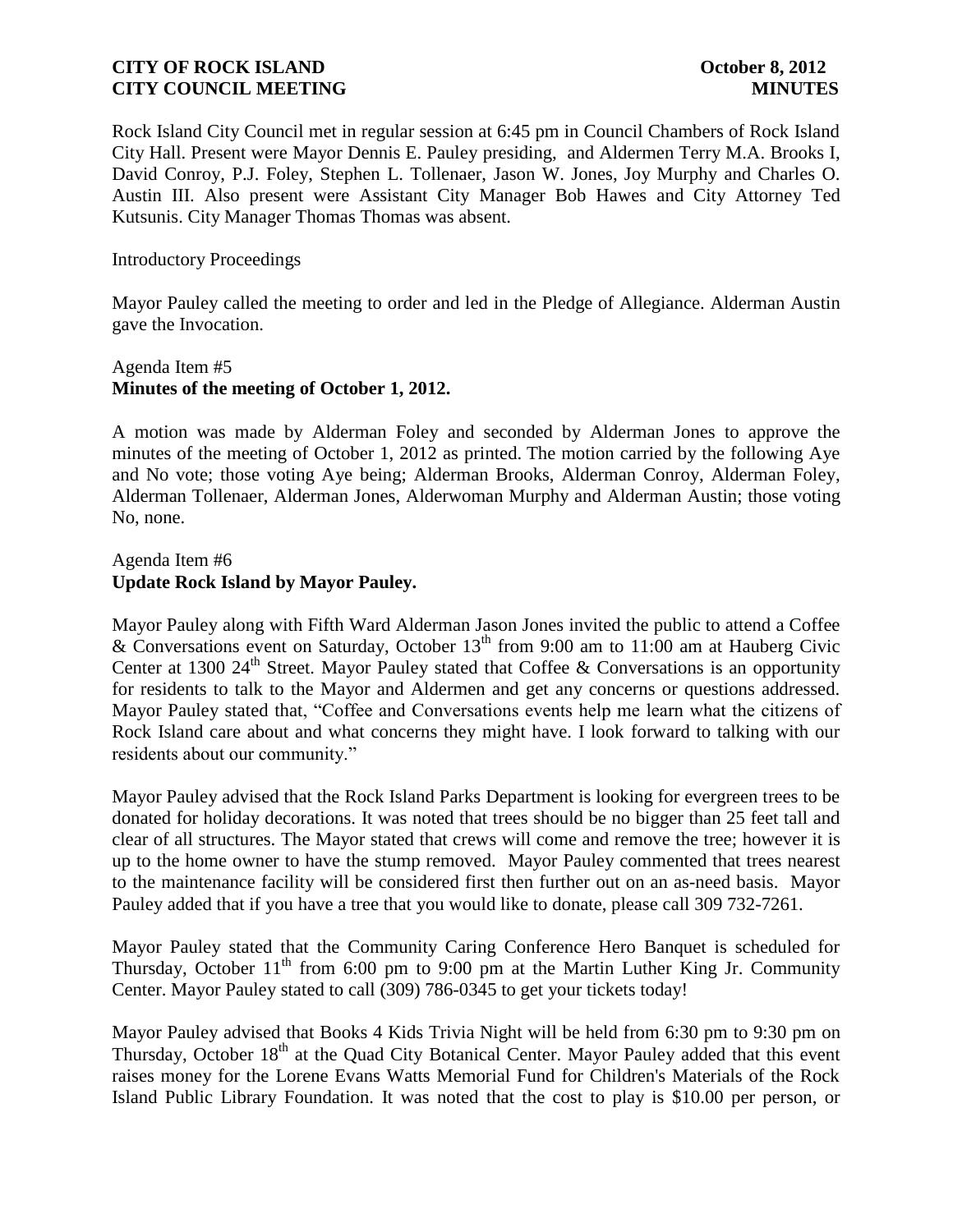Rock Island City Council met in regular session at 6:45 pm in Council Chambers of Rock Island City Hall. Present were Mayor Dennis E. Pauley presiding, and Aldermen Terry M.A. Brooks I, David Conroy, P.J. Foley, Stephen L. Tollenaer, Jason W. Jones, Joy Murphy and Charles O. Austin III. Also present were Assistant City Manager Bob Hawes and City Attorney Ted Kutsunis. City Manager Thomas Thomas was absent.

Introductory Proceedings

Mayor Pauley called the meeting to order and led in the Pledge of Allegiance. Alderman Austin gave the Invocation.

### Agenda Item #5 **Minutes of the meeting of October 1, 2012.**

A motion was made by Alderman Foley and seconded by Alderman Jones to approve the minutes of the meeting of October 1, 2012 as printed. The motion carried by the following Aye and No vote; those voting Aye being; Alderman Brooks, Alderman Conroy, Alderman Foley, Alderman Tollenaer, Alderman Jones, Alderwoman Murphy and Alderman Austin; those voting No, none.

## Agenda Item #6 **Update Rock Island by Mayor Pauley.**

Mayor Pauley along with Fifth Ward Alderman Jason Jones invited the public to attend a Coffee & Conversations event on Saturday, October  $13<sup>th</sup>$  from 9:00 am to 11:00 am at Hauberg Civic Center at 1300 24<sup>th</sup> Street. Mayor Pauley stated that Coffee & Conversations is an opportunity for residents to talk to the Mayor and Aldermen and get any concerns or questions addressed. Mayor Pauley stated that, "Coffee and Conversations events help me learn what the citizens of Rock Island care about and what concerns they might have. I look forward to talking with our residents about our community."

Mayor Pauley advised that the Rock Island Parks Department is looking for evergreen trees to be donated for holiday decorations. It was noted that trees should be no bigger than 25 feet tall and clear of all structures. The Mayor stated that crews will come and remove the tree; however it is up to the home owner to have the stump removed. Mayor Pauley commented that trees nearest to the maintenance facility will be considered first then further out on an as-need basis. Mayor Pauley added that if you have a tree that you would like to donate, please call 309 732-7261.

Mayor Pauley stated that the Community Caring Conference Hero Banquet is scheduled for Thursday, October  $11<sup>th</sup>$  from 6:00 pm to 9:00 pm at the Martin Luther King Jr. Community Center. Mayor Pauley stated to call (309) 786-0345 to get your tickets today!

Mayor Pauley advised that Books 4 Kids Trivia Night will be held from 6:30 pm to 9:30 pm on Thursday, October 18<sup>th</sup> at the Quad City Botanical Center. Mayor Pauley added that this event raises money for the Lorene Evans Watts Memorial Fund for Children's Materials of the Rock Island Public Library Foundation. It was noted that the cost to play is \$10.00 per person, or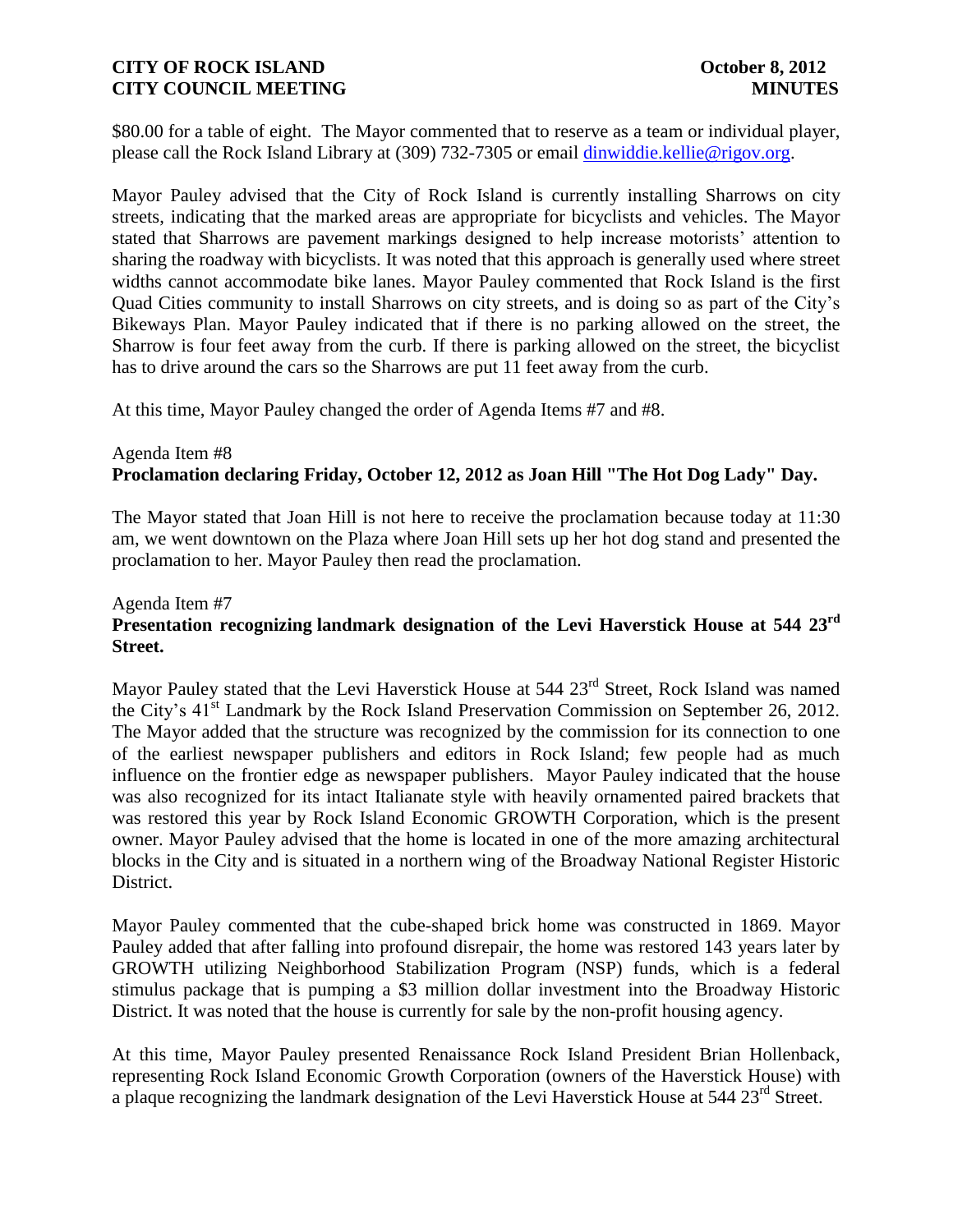\$80.00 for a table of eight. The Mayor commented that to reserve as a team or individual player, please call the Rock Island Library at (309) 732-7305 or email [dinwiddie.kellie@rigov.org.](mailto:dinwiddie.kellie@rigov.org)

Mayor Pauley advised that the City of Rock Island is currently installing Sharrows on city streets, indicating that the marked areas are appropriate for bicyclists and vehicles. The Mayor stated that Sharrows are pavement markings designed to help increase motorists' attention to sharing the roadway with bicyclists. It was noted that this approach is generally used where street widths cannot accommodate bike lanes. Mayor Pauley commented that Rock Island is the first Quad Cities community to install Sharrows on city streets, and is doing so as part of the City's Bikeways Plan. Mayor Pauley indicated that if there is no parking allowed on the street, the Sharrow is four feet away from the curb. If there is parking allowed on the street, the bicyclist has to drive around the cars so the Sharrows are put 11 feet away from the curb.

At this time, Mayor Pauley changed the order of Agenda Items #7 and #8.

# Agenda Item #8 **Proclamation declaring Friday, October 12, 2012 as Joan Hill "The Hot Dog Lady" Day.**

The Mayor stated that Joan Hill is not here to receive the proclamation because today at 11:30 am, we went downtown on the Plaza where Joan Hill sets up her hot dog stand and presented the proclamation to her. Mayor Pauley then read the proclamation.

# Agenda Item #7 **Presentation recognizing landmark designation of the Levi Haverstick House at 544 23rd Street.**

Mayor Pauley stated that the Levi Haverstick House at 544 23<sup>rd</sup> Street, Rock Island was named the City's 41<sup>st</sup> Landmark by the Rock Island Preservation Commission on September 26, 2012. The Mayor added that the structure was recognized by the commission for its connection to one of the earliest newspaper publishers and editors in Rock Island; few people had as much influence on the frontier edge as newspaper publishers. Mayor Pauley indicated that the house was also recognized for its intact Italianate style with heavily ornamented paired brackets that was restored this year by Rock Island Economic GROWTH Corporation, which is the present owner. Mayor Pauley advised that the home is located in one of the more amazing architectural blocks in the City and is situated in a northern wing of the Broadway National Register Historic District.

Mayor Pauley commented that the cube-shaped brick home was constructed in 1869. Mayor Pauley added that after falling into profound disrepair, the home was restored 143 years later by GROWTH utilizing Neighborhood Stabilization Program (NSP) funds, which is a federal stimulus package that is pumping a \$3 million dollar investment into the Broadway Historic District. It was noted that the house is currently for sale by the non-profit housing agency.

At this time, Mayor Pauley presented Renaissance Rock Island President Brian Hollenback, representing Rock Island Economic Growth Corporation (owners of the Haverstick House) with a plaque recognizing the landmark designation of the Levi Haverstick House at 544 23<sup>rd</sup> Street.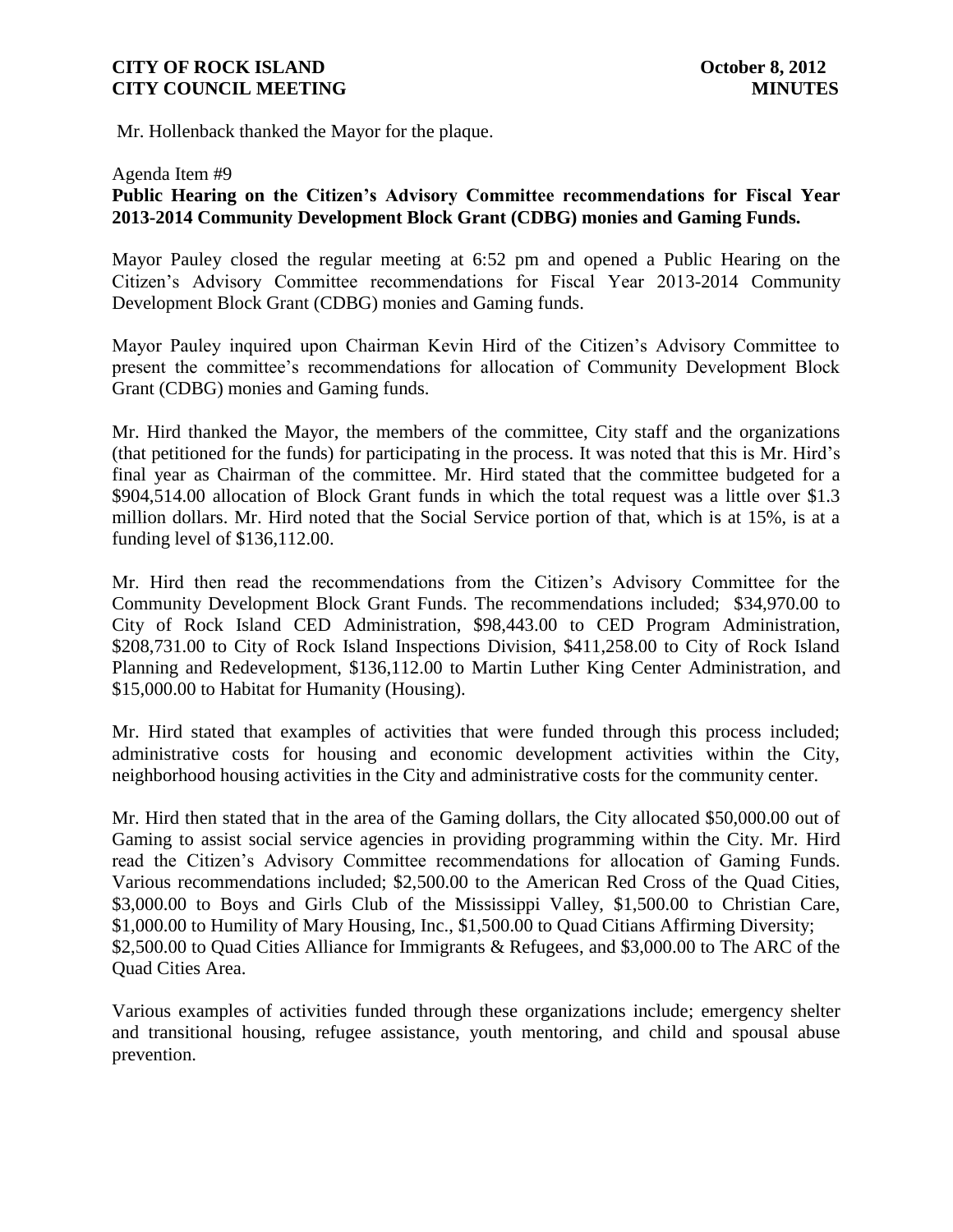Mr. Hollenback thanked the Mayor for the plaque.

#### Agenda Item #9

# **Public Hearing on the Citizen's Advisory Committee recommendations for Fiscal Year 2013-2014 Community Development Block Grant (CDBG) monies and Gaming Funds.**

Mayor Pauley closed the regular meeting at 6:52 pm and opened a Public Hearing on the Citizen's Advisory Committee recommendations for Fiscal Year 2013-2014 Community Development Block Grant (CDBG) monies and Gaming funds.

Mayor Pauley inquired upon Chairman Kevin Hird of the Citizen's Advisory Committee to present the committee's recommendations for allocation of Community Development Block Grant (CDBG) monies and Gaming funds.

Mr. Hird thanked the Mayor, the members of the committee, City staff and the organizations (that petitioned for the funds) for participating in the process. It was noted that this is Mr. Hird's final year as Chairman of the committee. Mr. Hird stated that the committee budgeted for a \$904,514.00 allocation of Block Grant funds in which the total request was a little over \$1.3 million dollars. Mr. Hird noted that the Social Service portion of that, which is at 15%, is at a funding level of \$136,112.00.

Mr. Hird then read the recommendations from the Citizen's Advisory Committee for the Community Development Block Grant Funds. The recommendations included; \$34,970.00 to City of Rock Island CED Administration, \$98,443.00 to CED Program Administration, \$208,731.00 to City of Rock Island Inspections Division, \$411,258.00 to City of Rock Island Planning and Redevelopment, \$136,112.00 to Martin Luther King Center Administration, and \$15,000.00 to Habitat for Humanity (Housing).

Mr. Hird stated that examples of activities that were funded through this process included; administrative costs for housing and economic development activities within the City, neighborhood housing activities in the City and administrative costs for the community center.

Mr. Hird then stated that in the area of the Gaming dollars, the City allocated \$50,000.00 out of Gaming to assist social service agencies in providing programming within the City. Mr. Hird read the Citizen's Advisory Committee recommendations for allocation of Gaming Funds. Various recommendations included; \$2,500.00 to the American Red Cross of the Quad Cities, \$3,000.00 to Boys and Girls Club of the Mississippi Valley, \$1,500.00 to Christian Care, \$1,000.00 to Humility of Mary Housing, Inc., \$1,500.00 to Quad Citians Affirming Diversity; \$2,500.00 to Quad Cities Alliance for Immigrants & Refugees, and \$3,000.00 to The ARC of the Quad Cities Area.

Various examples of activities funded through these organizations include; emergency shelter and transitional housing, refugee assistance, youth mentoring, and child and spousal abuse prevention.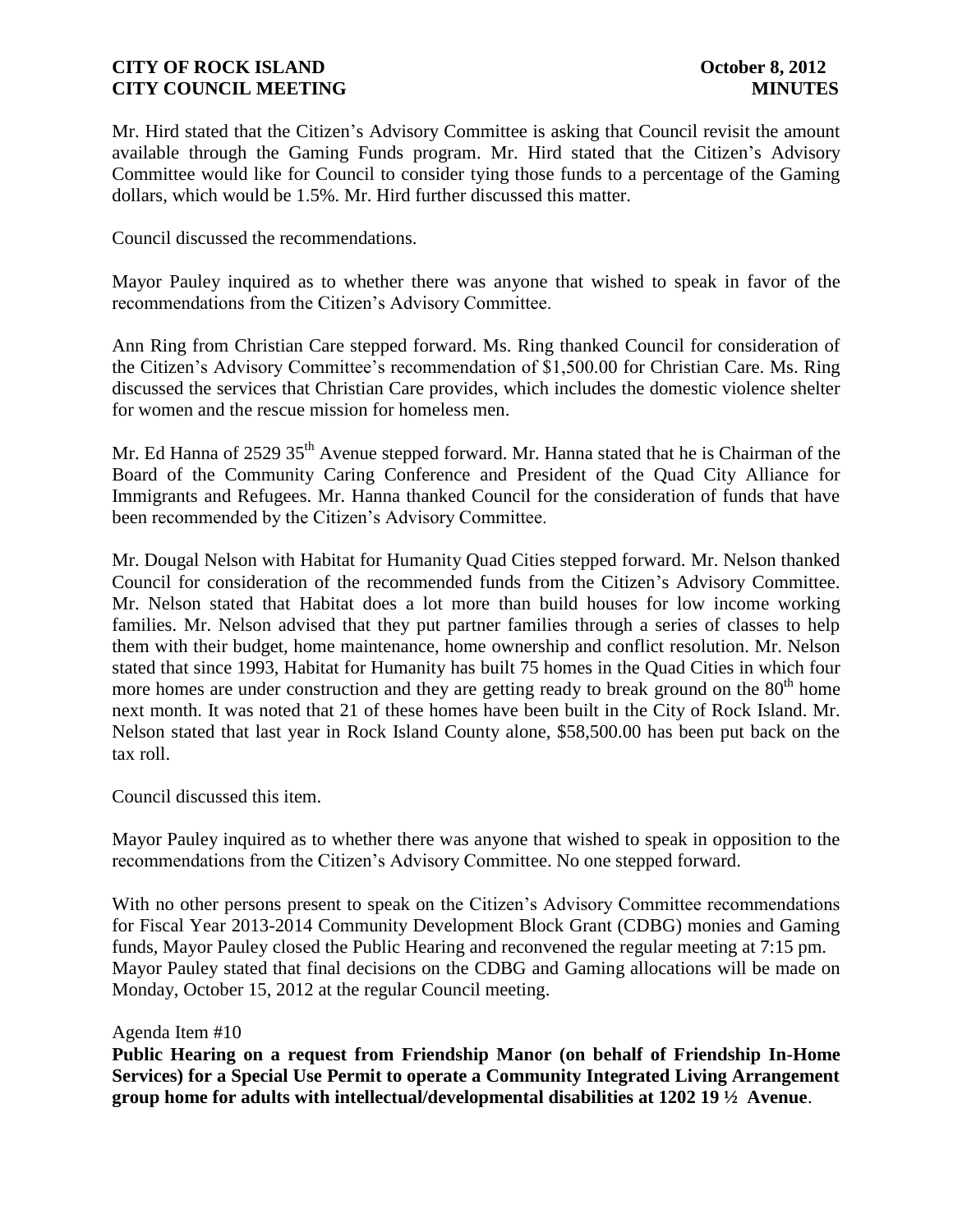Mr. Hird stated that the Citizen's Advisory Committee is asking that Council revisit the amount available through the Gaming Funds program. Mr. Hird stated that the Citizen's Advisory Committee would like for Council to consider tying those funds to a percentage of the Gaming dollars, which would be 1.5%. Mr. Hird further discussed this matter.

Council discussed the recommendations.

Mayor Pauley inquired as to whether there was anyone that wished to speak in favor of the recommendations from the Citizen's Advisory Committee.

Ann Ring from Christian Care stepped forward. Ms. Ring thanked Council for consideration of the Citizen's Advisory Committee's recommendation of \$1,500.00 for Christian Care. Ms. Ring discussed the services that Christian Care provides, which includes the domestic violence shelter for women and the rescue mission for homeless men.

Mr. Ed Hanna of 2529 35<sup>th</sup> Avenue stepped forward. Mr. Hanna stated that he is Chairman of the Board of the Community Caring Conference and President of the Quad City Alliance for Immigrants and Refugees. Mr. Hanna thanked Council for the consideration of funds that have been recommended by the Citizen's Advisory Committee.

Mr. Dougal Nelson with Habitat for Humanity Quad Cities stepped forward. Mr. Nelson thanked Council for consideration of the recommended funds from the Citizen's Advisory Committee. Mr. Nelson stated that Habitat does a lot more than build houses for low income working families. Mr. Nelson advised that they put partner families through a series of classes to help them with their budget, home maintenance, home ownership and conflict resolution. Mr. Nelson stated that since 1993, Habitat for Humanity has built 75 homes in the Quad Cities in which four more homes are under construction and they are getting ready to break ground on the  $80<sup>th</sup>$  home next month. It was noted that 21 of these homes have been built in the City of Rock Island. Mr. Nelson stated that last year in Rock Island County alone, \$58,500.00 has been put back on the tax roll.

Council discussed this item.

Mayor Pauley inquired as to whether there was anyone that wished to speak in opposition to the recommendations from the Citizen's Advisory Committee. No one stepped forward.

With no other persons present to speak on the Citizen's Advisory Committee recommendations for Fiscal Year 2013-2014 Community Development Block Grant (CDBG) monies and Gaming funds, Mayor Pauley closed the Public Hearing and reconvened the regular meeting at 7:15 pm. Mayor Pauley stated that final decisions on the CDBG and Gaming allocations will be made on Monday, October 15, 2012 at the regular Council meeting.

#### Agenda Item #10

**Public Hearing on a request from Friendship Manor (on behalf of Friendship In-Home Services) for a Special Use Permit to operate a Community Integrated Living Arrangement group home for adults with intellectual/developmental disabilities at 1202 19 ½ Avenue**.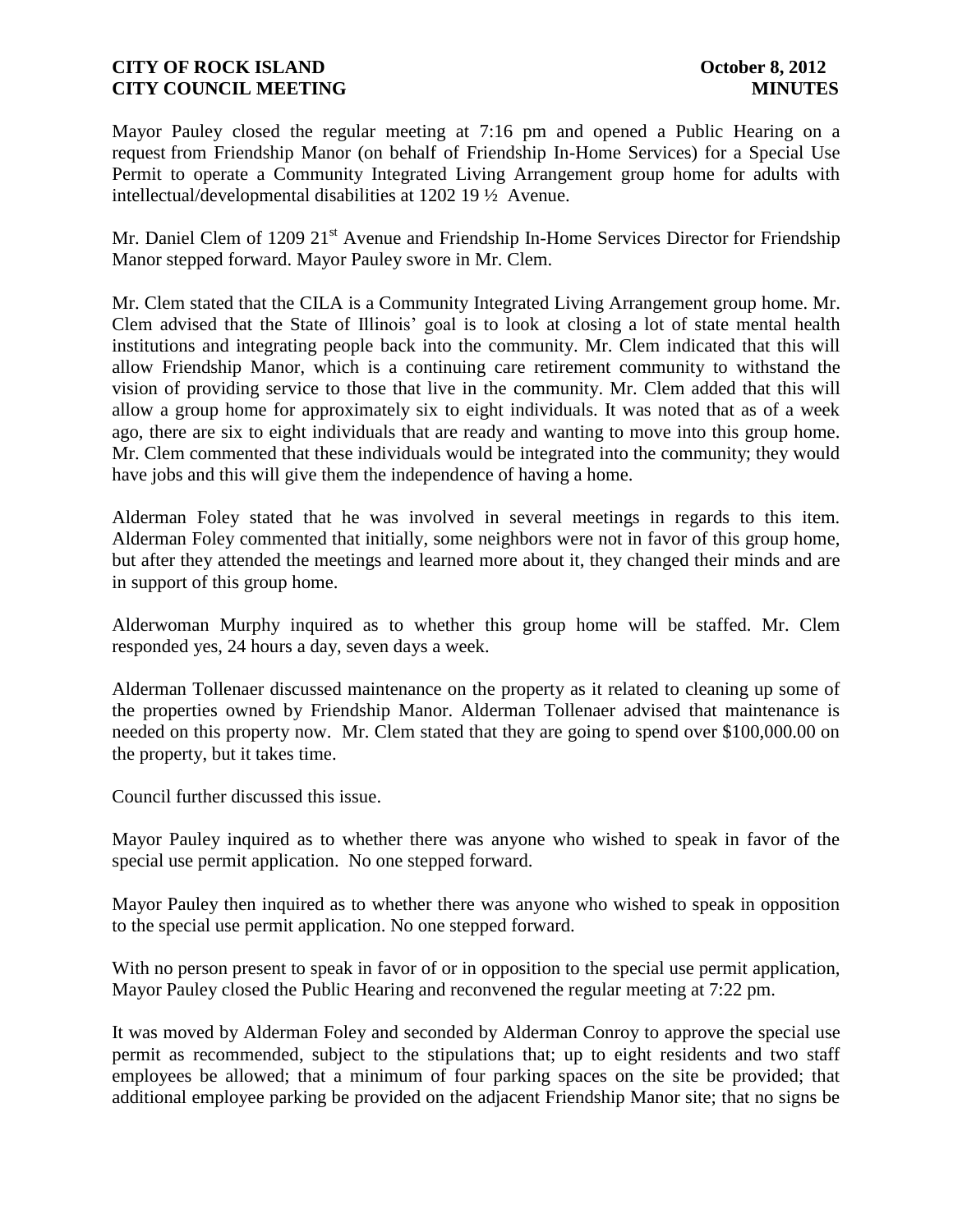Mayor Pauley closed the regular meeting at 7:16 pm and opened a Public Hearing on a request from Friendship Manor (on behalf of Friendship In-Home Services) for a Special Use Permit to operate a Community Integrated Living Arrangement group home for adults with intellectual/developmental disabilities at 1202 19 ½ Avenue.

Mr. Daniel Clem of 1209 21<sup>st</sup> Avenue and Friendship In-Home Services Director for Friendship Manor stepped forward. Mayor Pauley swore in Mr. Clem.

Mr. Clem stated that the CILA is a Community Integrated Living Arrangement group home. Mr. Clem advised that the State of Illinois' goal is to look at closing a lot of state mental health institutions and integrating people back into the community. Mr. Clem indicated that this will allow Friendship Manor, which is a continuing care retirement community to withstand the vision of providing service to those that live in the community. Mr. Clem added that this will allow a group home for approximately six to eight individuals. It was noted that as of a week ago, there are six to eight individuals that are ready and wanting to move into this group home. Mr. Clem commented that these individuals would be integrated into the community; they would have jobs and this will give them the independence of having a home.

Alderman Foley stated that he was involved in several meetings in regards to this item. Alderman Foley commented that initially, some neighbors were not in favor of this group home, but after they attended the meetings and learned more about it, they changed their minds and are in support of this group home.

Alderwoman Murphy inquired as to whether this group home will be staffed. Mr. Clem responded yes, 24 hours a day, seven days a week.

Alderman Tollenaer discussed maintenance on the property as it related to cleaning up some of the properties owned by Friendship Manor. Alderman Tollenaer advised that maintenance is needed on this property now. Mr. Clem stated that they are going to spend over \$100,000.00 on the property, but it takes time.

Council further discussed this issue.

Mayor Pauley inquired as to whether there was anyone who wished to speak in favor of the special use permit application. No one stepped forward.

Mayor Pauley then inquired as to whether there was anyone who wished to speak in opposition to the special use permit application. No one stepped forward.

With no person present to speak in favor of or in opposition to the special use permit application, Mayor Pauley closed the Public Hearing and reconvened the regular meeting at 7:22 pm.

It was moved by Alderman Foley and seconded by Alderman Conroy to approve the special use permit as recommended, subject to the stipulations that; up to eight residents and two staff employees be allowed; that a minimum of four parking spaces on the site be provided; that additional employee parking be provided on the adjacent Friendship Manor site; that no signs be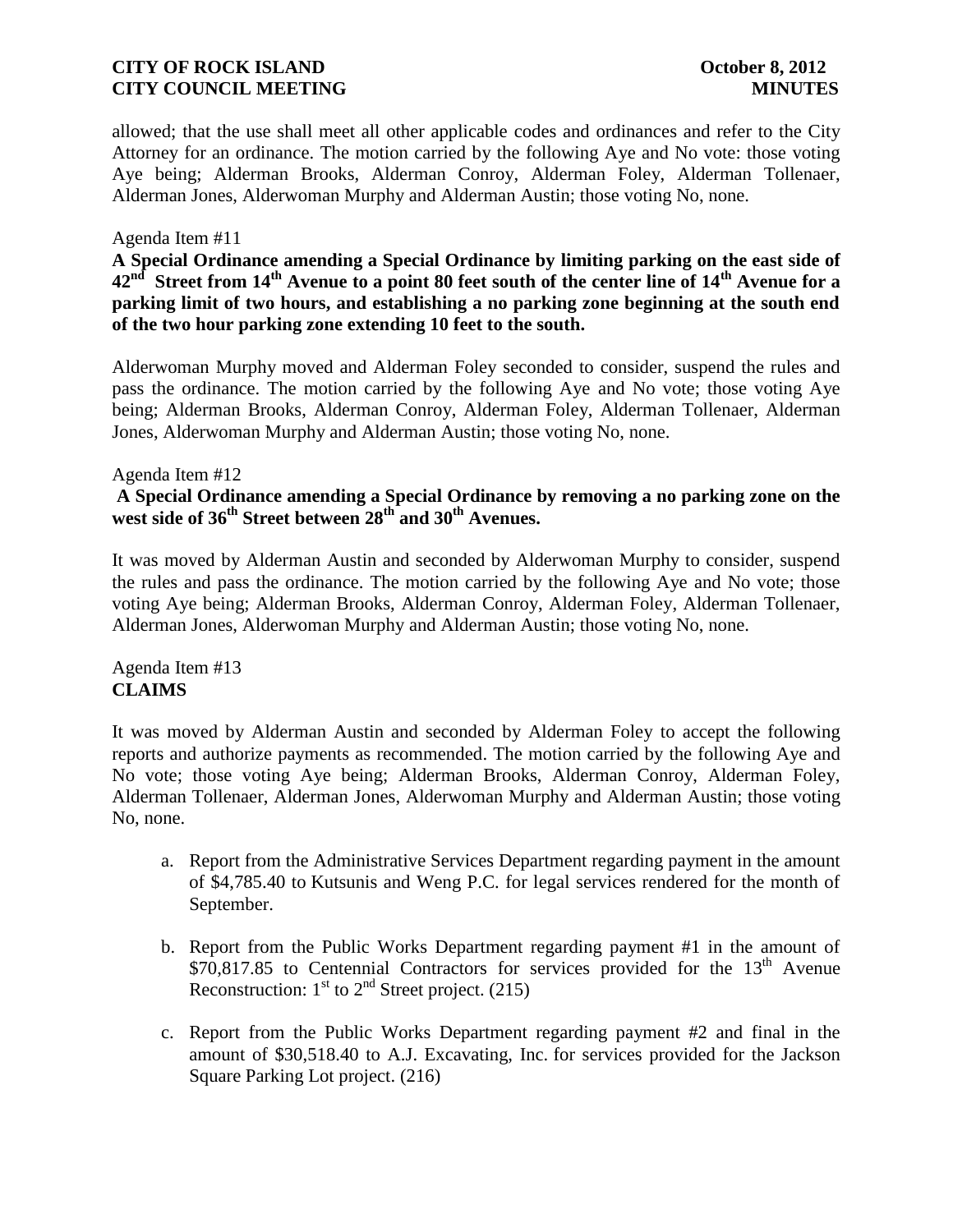allowed; that the use shall meet all other applicable codes and ordinances and refer to the City Attorney for an ordinance. The motion carried by the following Aye and No vote: those voting Aye being; Alderman Brooks, Alderman Conroy, Alderman Foley, Alderman Tollenaer, Alderman Jones, Alderwoman Murphy and Alderman Austin; those voting No, none.

### Agenda Item #11

**A Special Ordinance amending a Special Ordinance by limiting parking on the east side of 42nd Street from 14th Avenue to a point 80 feet south of the center line of 14th Avenue for a parking limit of two hours, and establishing a no parking zone beginning at the south end of the two hour parking zone extending 10 feet to the south.**

Alderwoman Murphy moved and Alderman Foley seconded to consider, suspend the rules and pass the ordinance. The motion carried by the following Aye and No vote; those voting Aye being; Alderman Brooks, Alderman Conroy, Alderman Foley, Alderman Tollenaer, Alderman Jones, Alderwoman Murphy and Alderman Austin; those voting No, none.

### Agenda Item #12

### **A Special Ordinance amending a Special Ordinance by removing a no parking zone on the west side of 36th Street between 28th and 30th Avenues.**

It was moved by Alderman Austin and seconded by Alderwoman Murphy to consider, suspend the rules and pass the ordinance. The motion carried by the following Aye and No vote; those voting Aye being; Alderman Brooks, Alderman Conroy, Alderman Foley, Alderman Tollenaer, Alderman Jones, Alderwoman Murphy and Alderman Austin; those voting No, none.

Agenda Item #13 **CLAIMS**

It was moved by Alderman Austin and seconded by Alderman Foley to accept the following reports and authorize payments as recommended. The motion carried by the following Aye and No vote; those voting Aye being; Alderman Brooks, Alderman Conroy, Alderman Foley, Alderman Tollenaer, Alderman Jones, Alderwoman Murphy and Alderman Austin; those voting No, none.

- a. Report from the Administrative Services Department regarding payment in the amount of \$4,785.40 to Kutsunis and Weng P.C. for legal services rendered for the month of September.
- b. Report from the Public Works Department regarding payment #1 in the amount of  $$70,817.85$  to Centennial Contractors for services provided for the  $13<sup>th</sup>$  Avenue Reconstruction:  $1<sup>st</sup>$  to  $2<sup>nd</sup>$  Street project. (215)
- c. Report from the Public Works Department regarding payment #2 and final in the amount of \$30,518.40 to A.J. Excavating, Inc. for services provided for the Jackson Square Parking Lot project. (216)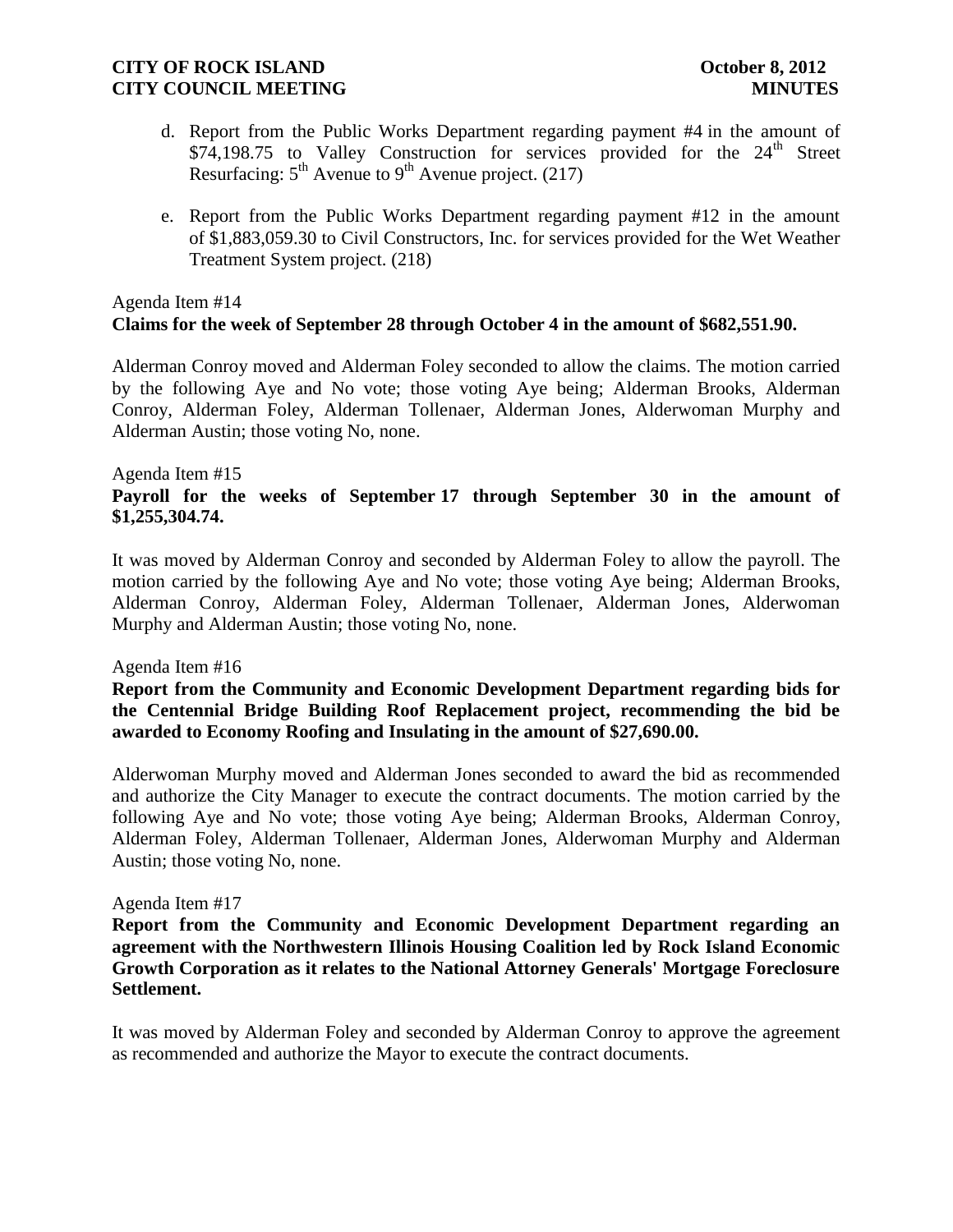- d. Report from the Public Works Department regarding payment #4 in the amount of \$74,198.75 to Valley Construction for services provided for the  $24<sup>th</sup>$  Street Resurfacing:  $5<sup>th</sup>$  Avenue to  $9<sup>th</sup>$  Avenue project. (217)
- e. Report from the Public Works Department regarding payment #12 in the amount of \$1,883,059.30 to Civil Constructors, Inc. for services provided for the Wet Weather Treatment System project. (218)

## Agenda Item #14 **Claims for the week of September 28 through October 4 in the amount of \$682,551.90.**

Alderman Conroy moved and Alderman Foley seconded to allow the claims. The motion carried by the following Aye and No vote; those voting Aye being; Alderman Brooks, Alderman Conroy, Alderman Foley, Alderman Tollenaer, Alderman Jones, Alderwoman Murphy and Alderman Austin; those voting No, none.

#### Agenda Item #15

# **Payroll for the weeks of September 17 through September 30 in the amount of \$1,255,304.74.**

It was moved by Alderman Conroy and seconded by Alderman Foley to allow the payroll. The motion carried by the following Aye and No vote; those voting Aye being; Alderman Brooks, Alderman Conroy, Alderman Foley, Alderman Tollenaer, Alderman Jones, Alderwoman Murphy and Alderman Austin; those voting No, none.

#### Agenda Item #16

**Report from the Community and Economic Development Department regarding bids for the Centennial Bridge Building Roof Replacement project, recommending the bid be awarded to Economy Roofing and Insulating in the amount of \$27,690.00.**

Alderwoman Murphy moved and Alderman Jones seconded to award the bid as recommended and authorize the City Manager to execute the contract documents. The motion carried by the following Aye and No vote; those voting Aye being; Alderman Brooks, Alderman Conroy, Alderman Foley, Alderman Tollenaer, Alderman Jones, Alderwoman Murphy and Alderman Austin; those voting No, none.

#### Agenda Item #17

**Report from the Community and Economic Development Department regarding an agreement with the Northwestern Illinois Housing Coalition led by Rock Island Economic Growth Corporation as it relates to the National Attorney Generals' Mortgage Foreclosure Settlement.**

It was moved by Alderman Foley and seconded by Alderman Conroy to approve the agreement as recommended and authorize the Mayor to execute the contract documents.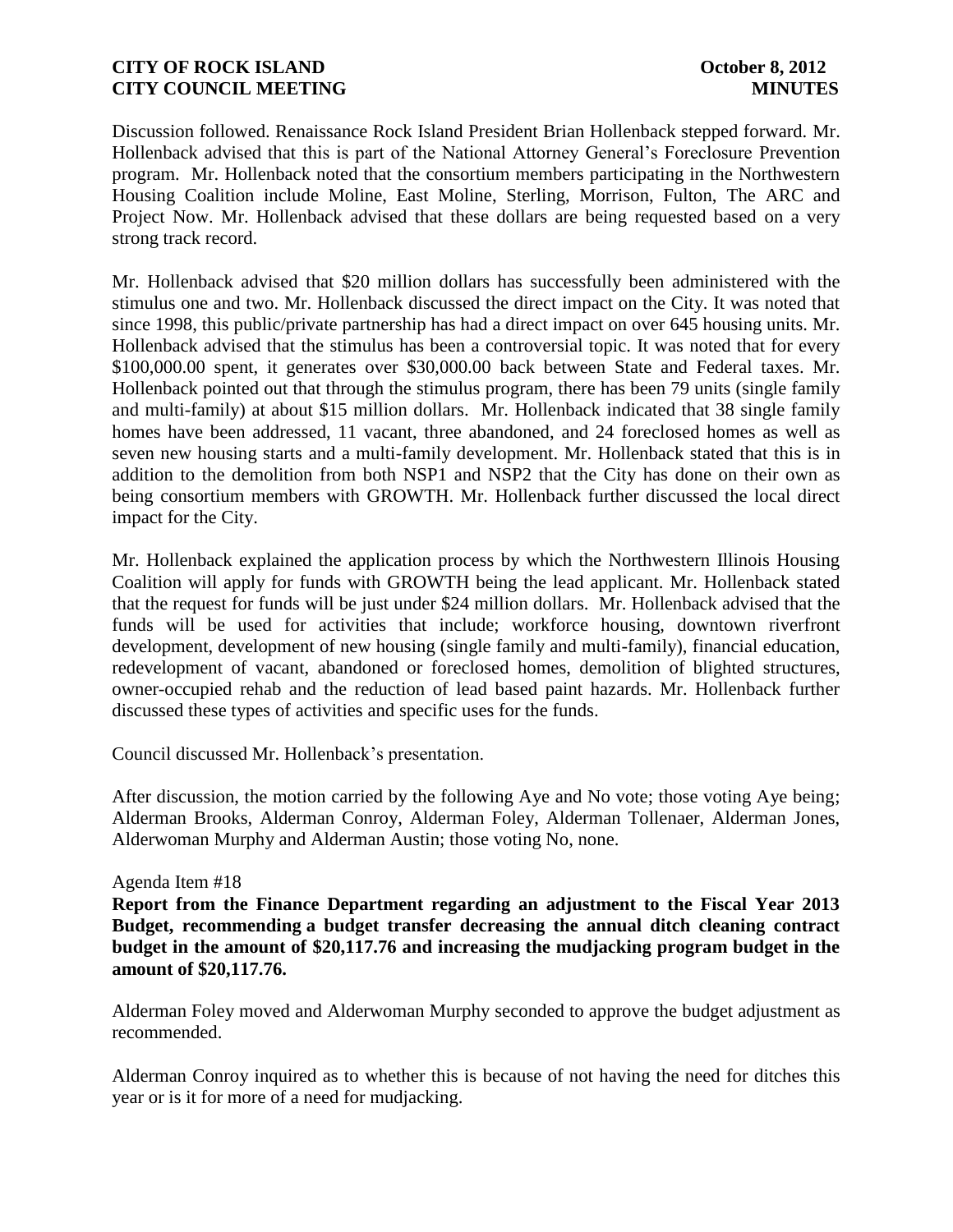Discussion followed. Renaissance Rock Island President Brian Hollenback stepped forward. Mr. Hollenback advised that this is part of the National Attorney General's Foreclosure Prevention program. Mr. Hollenback noted that the consortium members participating in the Northwestern Housing Coalition include Moline, East Moline, Sterling, Morrison, Fulton, The ARC and Project Now. Mr. Hollenback advised that these dollars are being requested based on a very strong track record.

Mr. Hollenback advised that \$20 million dollars has successfully been administered with the stimulus one and two. Mr. Hollenback discussed the direct impact on the City. It was noted that since 1998, this public/private partnership has had a direct impact on over 645 housing units. Mr. Hollenback advised that the stimulus has been a controversial topic. It was noted that for every \$100,000.00 spent, it generates over \$30,000.00 back between State and Federal taxes. Mr. Hollenback pointed out that through the stimulus program, there has been 79 units (single family and multi-family) at about \$15 million dollars. Mr. Hollenback indicated that 38 single family homes have been addressed, 11 vacant, three abandoned, and 24 foreclosed homes as well as seven new housing starts and a multi-family development. Mr. Hollenback stated that this is in addition to the demolition from both NSP1 and NSP2 that the City has done on their own as being consortium members with GROWTH. Mr. Hollenback further discussed the local direct impact for the City.

Mr. Hollenback explained the application process by which the Northwestern Illinois Housing Coalition will apply for funds with GROWTH being the lead applicant. Mr. Hollenback stated that the request for funds will be just under \$24 million dollars. Mr. Hollenback advised that the funds will be used for activities that include; workforce housing, downtown riverfront development, development of new housing (single family and multi-family), financial education, redevelopment of vacant, abandoned or foreclosed homes, demolition of blighted structures, owner-occupied rehab and the reduction of lead based paint hazards. Mr. Hollenback further discussed these types of activities and specific uses for the funds.

Council discussed Mr. Hollenback's presentation.

After discussion, the motion carried by the following Aye and No vote; those voting Aye being; Alderman Brooks, Alderman Conroy, Alderman Foley, Alderman Tollenaer, Alderman Jones, Alderwoman Murphy and Alderman Austin; those voting No, none.

### Agenda Item #18

**Report from the Finance Department regarding an adjustment to the Fiscal Year 2013 Budget, recommending a budget transfer decreasing the annual ditch cleaning contract budget in the amount of \$20,117.76 and increasing the mudjacking program budget in the amount of \$20,117.76.**

Alderman Foley moved and Alderwoman Murphy seconded to approve the budget adjustment as recommended.

Alderman Conroy inquired as to whether this is because of not having the need for ditches this year or is it for more of a need for mudjacking.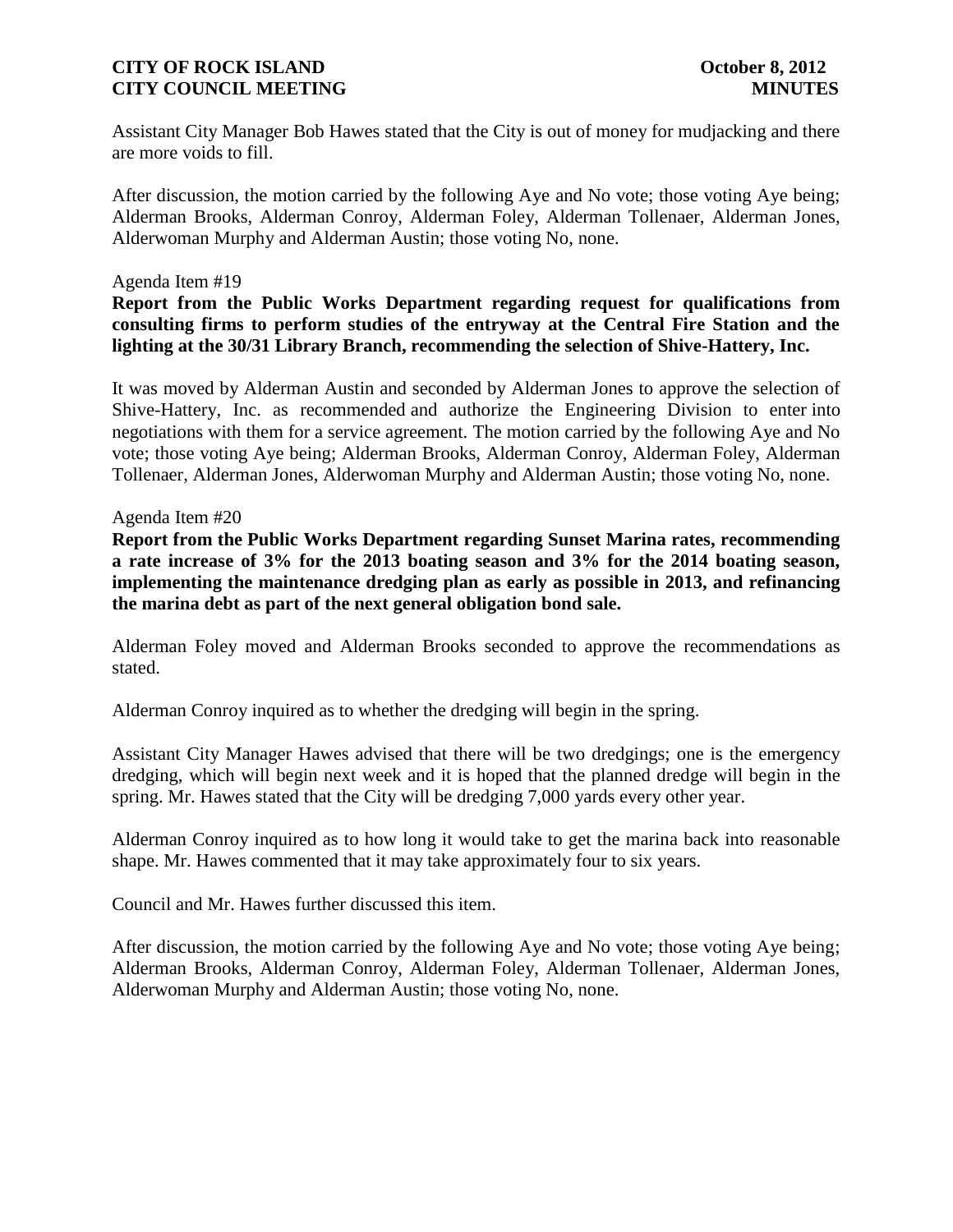Assistant City Manager Bob Hawes stated that the City is out of money for mudjacking and there are more voids to fill.

After discussion, the motion carried by the following Aye and No vote; those voting Aye being; Alderman Brooks, Alderman Conroy, Alderman Foley, Alderman Tollenaer, Alderman Jones, Alderwoman Murphy and Alderman Austin; those voting No, none.

#### Agenda Item #19

**Report from the Public Works Department regarding request for qualifications from consulting firms to perform studies of the entryway at the Central Fire Station and the lighting at the 30/31 Library Branch, recommending the selection of Shive-Hattery, Inc.**

It was moved by Alderman Austin and seconded by Alderman Jones to approve the selection of Shive-Hattery, Inc. as recommended and authorize the Engineering Division to enter into negotiations with them for a service agreement. The motion carried by the following Aye and No vote; those voting Aye being; Alderman Brooks, Alderman Conroy, Alderman Foley, Alderman Tollenaer, Alderman Jones, Alderwoman Murphy and Alderman Austin; those voting No, none.

#### Agenda Item #20

**Report from the Public Works Department regarding Sunset Marina rates, recommending a rate increase of 3% for the 2013 boating season and 3% for the 2014 boating season, implementing the maintenance dredging plan as early as possible in 2013, and refinancing the marina debt as part of the next general obligation bond sale.**

Alderman Foley moved and Alderman Brooks seconded to approve the recommendations as stated.

Alderman Conroy inquired as to whether the dredging will begin in the spring.

Assistant City Manager Hawes advised that there will be two dredgings; one is the emergency dredging, which will begin next week and it is hoped that the planned dredge will begin in the spring. Mr. Hawes stated that the City will be dredging 7,000 yards every other year.

Alderman Conroy inquired as to how long it would take to get the marina back into reasonable shape. Mr. Hawes commented that it may take approximately four to six years.

Council and Mr. Hawes further discussed this item.

After discussion, the motion carried by the following Aye and No vote; those voting Aye being; Alderman Brooks, Alderman Conroy, Alderman Foley, Alderman Tollenaer, Alderman Jones, Alderwoman Murphy and Alderman Austin; those voting No, none.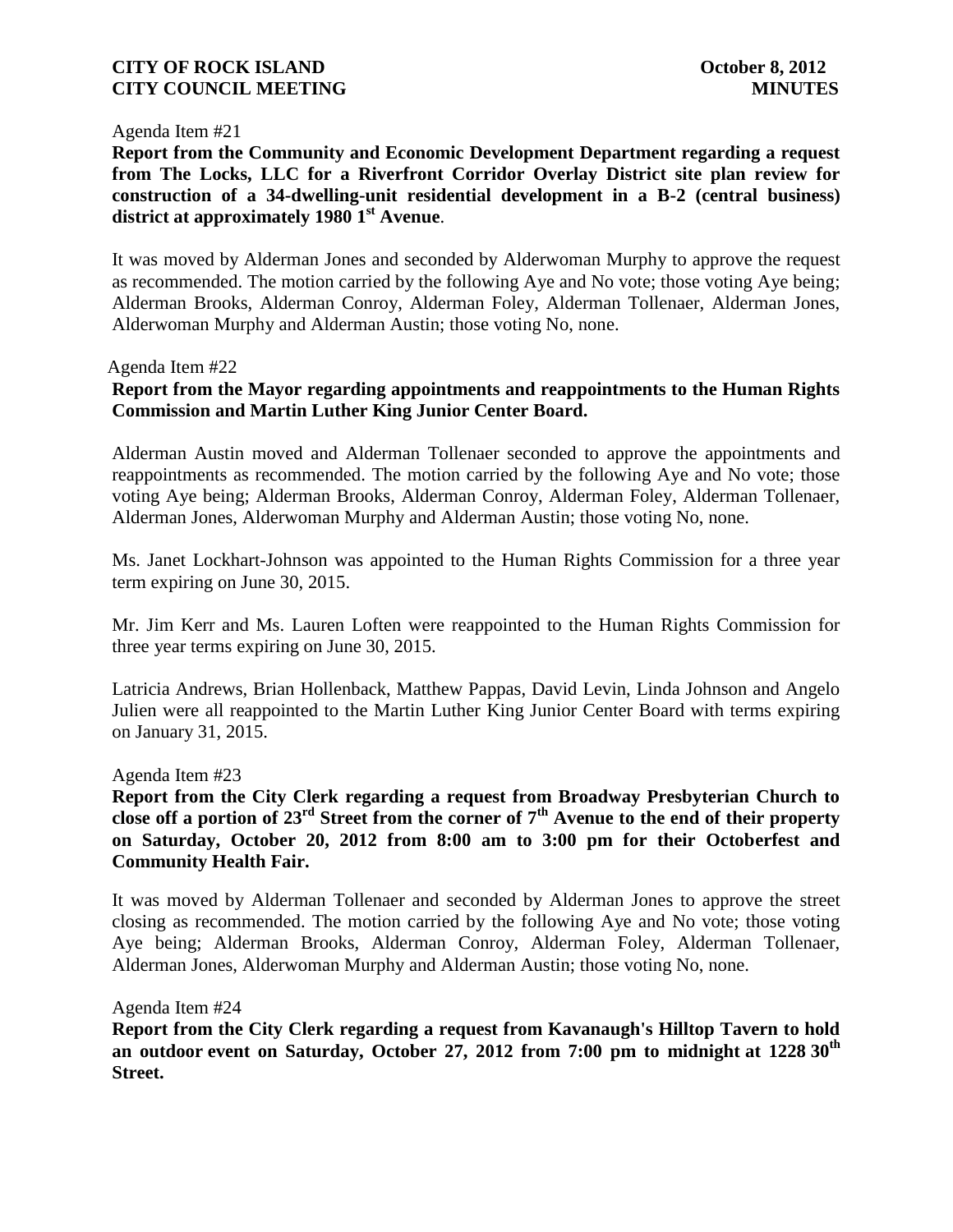#### Agenda Item #21

**Report from the Community and Economic Development Department regarding a request from The Locks, LLC for a Riverfront Corridor Overlay District site plan review for construction of a 34-dwelling-unit residential development in a B-2 (central business) district at approximately 1980 1st Avenue**.

It was moved by Alderman Jones and seconded by Alderwoman Murphy to approve the request as recommended. The motion carried by the following Aye and No vote; those voting Aye being; Alderman Brooks, Alderman Conroy, Alderman Foley, Alderman Tollenaer, Alderman Jones, Alderwoman Murphy and Alderman Austin; those voting No, none.

#### Agenda Item #22

# **Report from the Mayor regarding appointments and reappointments to the Human Rights Commission and Martin Luther King Junior Center Board.**

Alderman Austin moved and Alderman Tollenaer seconded to approve the appointments and reappointments as recommended. The motion carried by the following Aye and No vote; those voting Aye being; Alderman Brooks, Alderman Conroy, Alderman Foley, Alderman Tollenaer, Alderman Jones, Alderwoman Murphy and Alderman Austin; those voting No, none.

Ms. Janet Lockhart-Johnson was appointed to the Human Rights Commission for a three year term expiring on June 30, 2015.

Mr. Jim Kerr and Ms. Lauren Loften were reappointed to the Human Rights Commission for three year terms expiring on June 30, 2015.

Latricia Andrews, Brian Hollenback, Matthew Pappas, David Levin, Linda Johnson and Angelo Julien were all reappointed to the Martin Luther King Junior Center Board with terms expiring on January 31, 2015.

### Agenda Item #23

**Report from the City Clerk regarding a request from Broadway Presbyterian Church to close off a portion of 23rd Street from the corner of 7th Avenue to the end of their property on Saturday, October 20, 2012 from 8:00 am to 3:00 pm for their Octoberfest and Community Health Fair.**

It was moved by Alderman Tollenaer and seconded by Alderman Jones to approve the street closing as recommended. The motion carried by the following Aye and No vote; those voting Aye being; Alderman Brooks, Alderman Conroy, Alderman Foley, Alderman Tollenaer, Alderman Jones, Alderwoman Murphy and Alderman Austin; those voting No, none.

Agenda Item #24

**Report from the City Clerk regarding a request from Kavanaugh's Hilltop Tavern to hold an outdoor event on Saturday, October 27, 2012 from 7:00 pm to midnight at 1228 30th Street.**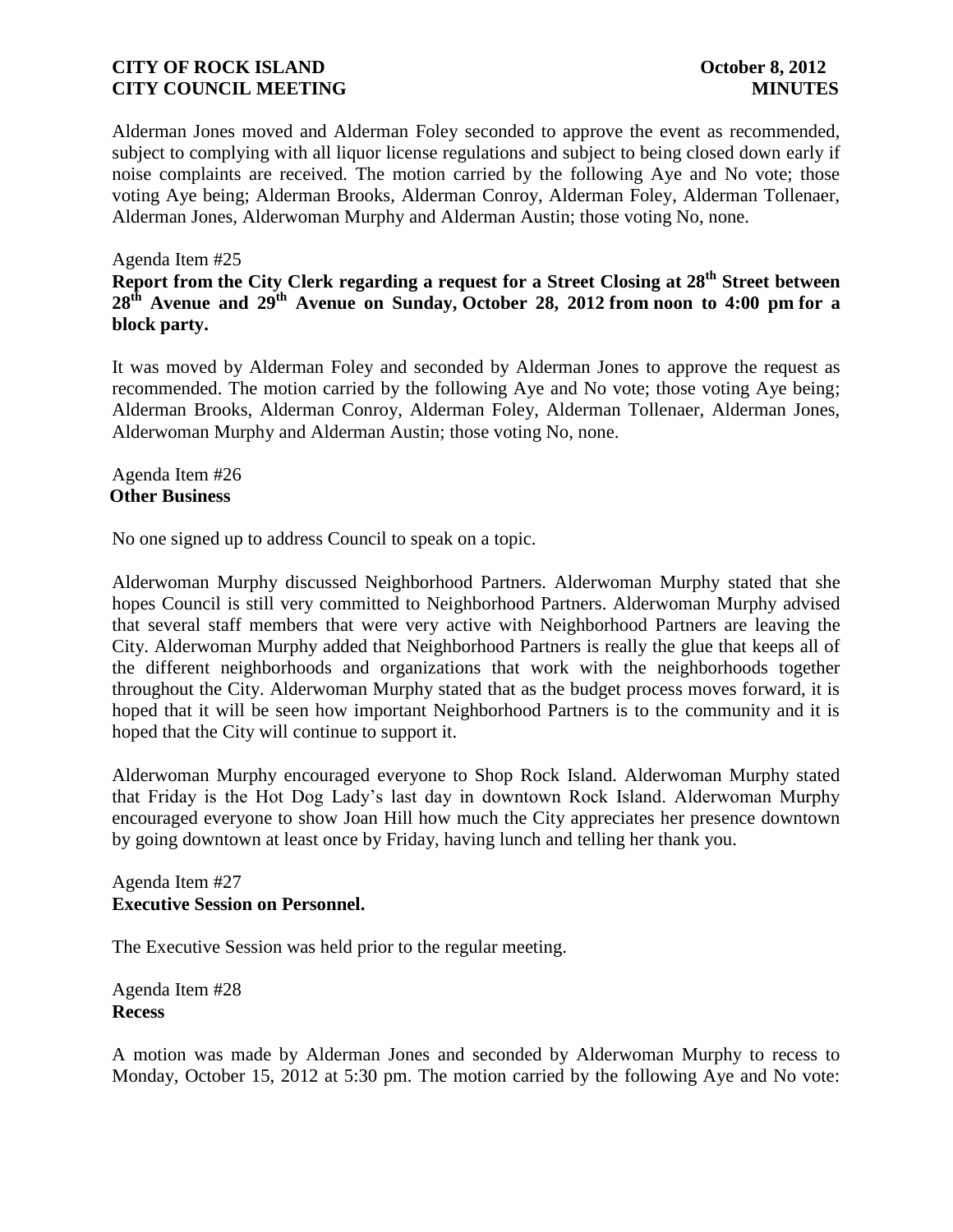Alderman Jones moved and Alderman Foley seconded to approve the event as recommended, subject to complying with all liquor license regulations and subject to being closed down early if noise complaints are received. The motion carried by the following Aye and No vote; those voting Aye being; Alderman Brooks, Alderman Conroy, Alderman Foley, Alderman Tollenaer, Alderman Jones, Alderwoman Murphy and Alderman Austin; those voting No, none.

### Agenda Item #25

**Report from the City Clerk regarding a request for a Street Closing at 28th Street between 28th Avenue and 29th Avenue on Sunday, October 28, 2012 from noon to 4:00 pm for a block party.** 

It was moved by Alderman Foley and seconded by Alderman Jones to approve the request as recommended. The motion carried by the following Aye and No vote; those voting Aye being; Alderman Brooks, Alderman Conroy, Alderman Foley, Alderman Tollenaer, Alderman Jones, Alderwoman Murphy and Alderman Austin; those voting No, none.

Agenda Item #26 **Other Business**

No one signed up to address Council to speak on a topic.

Alderwoman Murphy discussed Neighborhood Partners. Alderwoman Murphy stated that she hopes Council is still very committed to Neighborhood Partners. Alderwoman Murphy advised that several staff members that were very active with Neighborhood Partners are leaving the City. Alderwoman Murphy added that Neighborhood Partners is really the glue that keeps all of the different neighborhoods and organizations that work with the neighborhoods together throughout the City. Alderwoman Murphy stated that as the budget process moves forward, it is hoped that it will be seen how important Neighborhood Partners is to the community and it is hoped that the City will continue to support it.

Alderwoman Murphy encouraged everyone to Shop Rock Island. Alderwoman Murphy stated that Friday is the Hot Dog Lady's last day in downtown Rock Island. Alderwoman Murphy encouraged everyone to show Joan Hill how much the City appreciates her presence downtown by going downtown at least once by Friday, having lunch and telling her thank you.

### Agenda Item #27 **Executive Session on Personnel.**

The Executive Session was held prior to the regular meeting.

Agenda Item #28 **Recess**

A motion was made by Alderman Jones and seconded by Alderwoman Murphy to recess to Monday, October 15, 2012 at 5:30 pm. The motion carried by the following Aye and No vote: